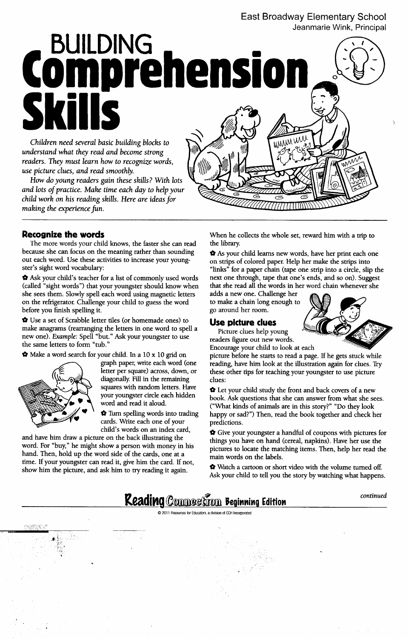### East Broadway Elementary School Jeanmarie Wink, Principal

BUILDING ...... 01 **Comprenensi**  $\mathbb{S}$  is the set of  $\mathbb{S}$  and  $\mathbb{S}$ *MWW* Children need several basic building blocks to

understand what they read and become strong readers. They must learn how to recognize words, use picture clues, and read smoothly.

How do young readers gain these skills? With lots and lots of practice. Make time each day to help your child work on his reading skills. Here are ideas for making the experience fun.

The more words your child knows, the faster she can read the library. because she can focus on the meaning rather than sounding  $\bullet$  As your child learns new words, have her print each one out each word. Use these activities to increase your young- on strips of colored paper. Help her make the strips into

(called "sight words") that your youngster should know when that she read all the words in her word chain whenever she she sees them. Slowly spell each word using magnetic letters adds a new one. Challenge her on the refrigerator. Challenge your child to guess the word to make a chain long enough to before you finish spelling it. The set of the set of the set of the set of the set of the set of the set of the set of the set of the set of the set of the set of the set of the set of the set of the set of the set of the

 $\bullet$  Use a set of Scrabble letter tiles (or homemade ones) to **Use picture clues** make anagrams (rearranging the letters in one word to spell a Picture clues help young new one). Example: Spell "but." Ask your youngster to use readers figure out new words. the same letters to form "tub." Encourage your child to look at each  $\frac{1}{2}$  Encourage your child to look at each



diagonally. Fill in the remaining clues:

cards. Write each one of your predictions.

and have him draw a picture on the back illustrating the things you have on hand (cereal, napkins). Have her use the hand. Then, hold up the word side of the cards, one at a main words on the labels. time. If your youngster can read it, give him the card. If not, show him the picture, and ask him to try reading it again.

;111; <u>;111; ;111; ;111; ;111; ;111; ;111; ;111; ;111; ;111; ;111; ;111; ;111; ;111; ;111; ;111; ;111; ;111; ;1<br>(1) ;111; ;111; ;111; ;111; ;111; ;111; ;111; ;111; ;111; ;111; ;111; ;111; ;111; ;111; ;111; ;111; ;111; ;11</u>

.

 $\bullet$   $\cdot$   $\cdot$ ,

!'!"

**Recognize the words** When he collects the whole set, reward him with a trip to

ster's sight word vocabulary: "links" for a paper chain (tape one strip into a circle, slip the '0 Ask your child's teacher for a list of commonly used words next one through, tape that one's ends, and so on). Suggest



 $\bigstar$  Make a word search for your child. In a 10 x 10 grid on picture before he starts to read a page. If he gets stuck while graph paper, write each word (one reading, have him look at the illustration again for clues. Tr reading, have him look at the illustration again for clues. Try letter per square) across, down, or these other tips for teaching your youngster to use picture

> squares with random letters. Have  $\bullet$  Let your child study the front and back covers of a new your youngster circle each hidden book. Ask questions that she can answer from what she sees.<br>word and read it aloud. ("What kinds of animals are in this stort?" "De that look. ("What kinds of animals are in this story?" "Do they look '0 Turn spelling words into trading happy or sad?") Then, read the book together and check her

child's words on an index card,  $\bullet$  Give your youngster a handful of coupons with pictures for word. For "buy," he might show a person with money in his pictures to locate the matching items. Then, help her read the

> $\boldsymbol{\hat{v}}$  Watch a cartoon or short video with the volume turned off. Ask your child to tell you the story by watching what happens.





**#**#10 company in the company of the company in the company of the company in the company of the company of the c